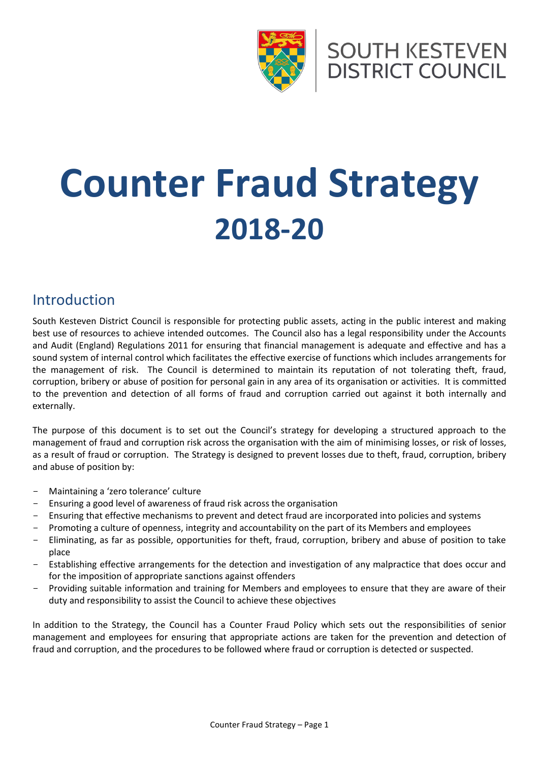

**SOUTH KESTEVEN DISTRICT COUNCIL** 

# **Counter Fraud Strategy 2018-20**

## Introduction

South Kesteven District Council is responsible for protecting public assets, acting in the public interest and making best use of resources to achieve intended outcomes. The Council also has a legal responsibility under the Accounts and Audit (England) Regulations 2011 for ensuring that financial management is adequate and effective and has a sound system of internal control which facilitates the effective exercise of functions which includes arrangements for the management of risk. The Council is determined to maintain its reputation of not tolerating theft, fraud, corruption, bribery or abuse of position for personal gain in any area of its organisation or activities. It is committed to the prevention and detection of all forms of fraud and corruption carried out against it both internally and externally.

The purpose of this document is to set out the Council's strategy for developing a structured approach to the management of fraud and corruption risk across the organisation with the aim of minimising losses, or risk of losses, as a result of fraud or corruption. The Strategy is designed to prevent losses due to theft, fraud, corruption, bribery and abuse of position by:

- Maintaining a 'zero tolerance' culture
- Ensuring a good level of awareness of fraud risk across the organisation
- Ensuring that effective mechanisms to prevent and detect fraud are incorporated into policies and systems
- Promoting a culture of openness, integrity and accountability on the part of its Members and employees
- Eliminating, as far as possible, opportunities for theft, fraud, corruption, bribery and abuse of position to take place
- Establishing effective arrangements for the detection and investigation of any malpractice that does occur and for the imposition of appropriate sanctions against offenders
- Providing suitable information and training for Members and employees to ensure that they are aware of their duty and responsibility to assist the Council to achieve these objectives

In addition to the Strategy, the Council has a Counter Fraud Policy which sets out the responsibilities of senior management and employees for ensuring that appropriate actions are taken for the prevention and detection of fraud and corruption, and the procedures to be followed where fraud or corruption is detected or suspected.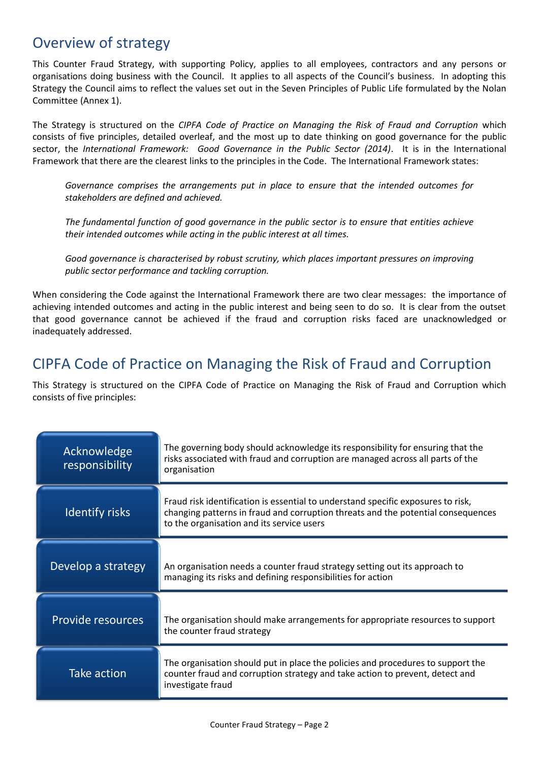## Overview of strategy

This Counter Fraud Strategy, with supporting Policy, applies to all employees, contractors and any persons or organisations doing business with the Council. It applies to all aspects of the Council's business. In adopting this Strategy the Council aims to reflect the values set out in the Seven Principles of Public Life formulated by the Nolan Committee (Annex 1).

The Strategy is structured on the *CIPFA Code of Practice on Managing the Risk of Fraud and Corruption* which consists of five principles, detailed overleaf, and the most up to date thinking on good governance for the public sector, the *International Framework: Good Governance in the Public Sector (2014)*. It is in the International Framework that there are the clearest links to the principles in the Code. The International Framework states:

*Governance comprises the arrangements put in place to ensure that the intended outcomes for stakeholders are defined and achieved.*

*The fundamental function of good governance in the public sector is to ensure that entities achieve their intended outcomes while acting in the public interest at all times.*

*Good governance is characterised by robust scrutiny, which places important pressures on improving public sector performance and tackling corruption.*

When considering the Code against the International Framework there are two clear messages: the importance of achieving intended outcomes and acting in the public interest and being seen to do so. It is clear from the outset that good governance cannot be achieved if the fraud and corruption risks faced are unacknowledged or inadequately addressed.

## CIPFA Code of Practice on Managing the Risk of Fraud and Corruption

This Strategy is structured on the CIPFA Code of Practice on Managing the Risk of Fraud and Corruption which consists of five principles:

| Acknowledge<br>responsibility | The governing body should acknowledge its responsibility for ensuring that the<br>risks associated with fraud and corruption are managed across all parts of the<br>organisation                                  |
|-------------------------------|-------------------------------------------------------------------------------------------------------------------------------------------------------------------------------------------------------------------|
| <b>Identify risks</b>         | Fraud risk identification is essential to understand specific exposures to risk,<br>changing patterns in fraud and corruption threats and the potential consequences<br>to the organisation and its service users |
| Develop a strategy            | An organisation needs a counter fraud strategy setting out its approach to<br>managing its risks and defining responsibilities for action                                                                         |
| Provide resources             | The organisation should make arrangements for appropriate resources to support<br>the counter fraud strategy                                                                                                      |
| Take action                   | The organisation should put in place the policies and procedures to support the<br>counter fraud and corruption strategy and take action to prevent, detect and<br>investigate fraud                              |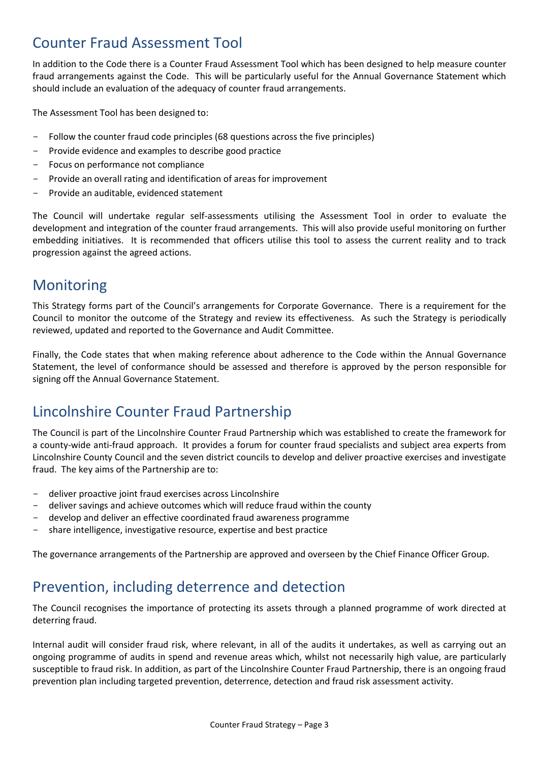## Counter Fraud Assessment Tool

In addition to the Code there is a Counter Fraud Assessment Tool which has been designed to help measure counter fraud arrangements against the Code. This will be particularly useful for the Annual Governance Statement which should include an evaluation of the adequacy of counter fraud arrangements.

The Assessment Tool has been designed to:

- Follow the counter fraud code principles (68 questions across the five principles)
- Provide evidence and examples to describe good practice
- Focus on performance not compliance
- Provide an overall rating and identification of areas for improvement
- Provide an auditable, evidenced statement

The Council will undertake regular self-assessments utilising the Assessment Tool in order to evaluate the development and integration of the counter fraud arrangements. This will also provide useful monitoring on further embedding initiatives. It is recommended that officers utilise this tool to assess the current reality and to track progression against the agreed actions.

## **Monitoring**

This Strategy forms part of the Council's arrangements for Corporate Governance. There is a requirement for the Council to monitor the outcome of the Strategy and review its effectiveness. As such the Strategy is periodically reviewed, updated and reported to the Governance and Audit Committee.

Finally, the Code states that when making reference about adherence to the Code within the Annual Governance Statement, the level of conformance should be assessed and therefore is approved by the person responsible for signing off the Annual Governance Statement.

## Lincolnshire Counter Fraud Partnership

The Council is part of the Lincolnshire Counter Fraud Partnership which was established to create the framework for a county-wide anti-fraud approach. It provides a forum for counter fraud specialists and subject area experts from Lincolnshire County Council and the seven district councils to develop and deliver proactive exercises and investigate fraud. The key aims of the Partnership are to:

- deliver proactive joint fraud exercises across Lincolnshire
- deliver savings and achieve outcomes which will reduce fraud within the county
- develop and deliver an effective coordinated fraud awareness programme
- share intelligence, investigative resource, expertise and best practice

The governance arrangements of the Partnership are approved and overseen by the Chief Finance Officer Group.

## Prevention, including deterrence and detection

The Council recognises the importance of protecting its assets through a planned programme of work directed at deterring fraud.

Internal audit will consider fraud risk, where relevant, in all of the audits it undertakes, as well as carrying out an ongoing programme of audits in spend and revenue areas which, whilst not necessarily high value, are particularly susceptible to fraud risk. In addition, as part of the Lincolnshire Counter Fraud Partnership, there is an ongoing fraud prevention plan including targeted prevention, deterrence, detection and fraud risk assessment activity.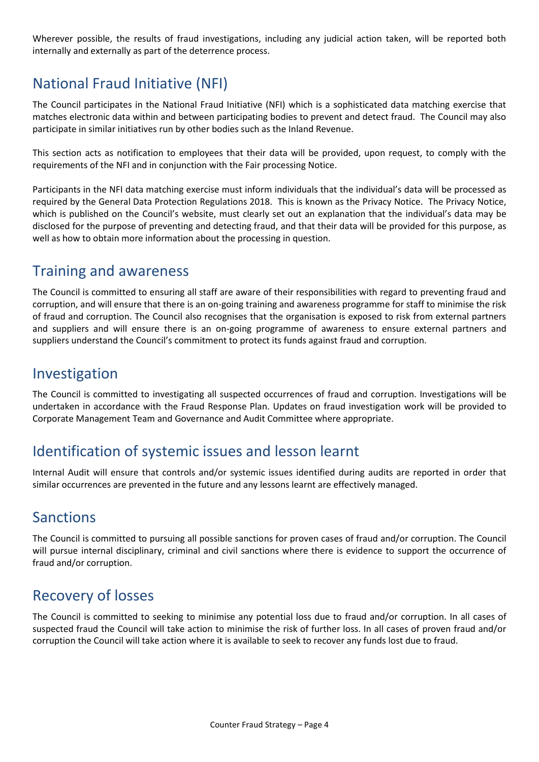Wherever possible, the results of fraud investigations, including any judicial action taken, will be reported both internally and externally as part of the deterrence process.

## National Fraud Initiative (NFI)

The Council participates in the National Fraud Initiative (NFI) which is a sophisticated data matching exercise that matches electronic data within and between participating bodies to prevent and detect fraud. The Council may also participate in similar initiatives run by other bodies such as the Inland Revenue.

This section acts as notification to employees that their data will be provided, upon request, to comply with the requirements of the NFI and in conjunction with the Fair processing Notice.

Participants in the NFI data matching exercise must inform individuals that the individual's data will be processed as required by the General Data Protection Regulations 2018. This is known as the Privacy Notice. The Privacy Notice, which is published on the Council's website, must clearly set out an explanation that the individual's data may be disclosed for the purpose of preventing and detecting fraud, and that their data will be provided for this purpose, as well as how to obtain more information about the processing in question.

## Training and awareness

The Council is committed to ensuring all staff are aware of their responsibilities with regard to preventing fraud and corruption, and will ensure that there is an on-going training and awareness programme for staff to minimise the risk of fraud and corruption. The Council also recognises that the organisation is exposed to risk from external partners and suppliers and will ensure there is an on-going programme of awareness to ensure external partners and suppliers understand the Council's commitment to protect its funds against fraud and corruption.

## Investigation

The Council is committed to investigating all suspected occurrences of fraud and corruption. Investigations will be undertaken in accordance with the Fraud Response Plan. Updates on fraud investigation work will be provided to Corporate Management Team and Governance and Audit Committee where appropriate.

## Identification of systemic issues and lesson learnt

Internal Audit will ensure that controls and/or systemic issues identified during audits are reported in order that similar occurrences are prevented in the future and any lessons learnt are effectively managed.

## Sanctions

The Council is committed to pursuing all possible sanctions for proven cases of fraud and/or corruption. The Council will pursue internal disciplinary, criminal and civil sanctions where there is evidence to support the occurrence of fraud and/or corruption.

## Recovery of losses

The Council is committed to seeking to minimise any potential loss due to fraud and/or corruption. In all cases of suspected fraud the Council will take action to minimise the risk of further loss. In all cases of proven fraud and/or corruption the Council will take action where it is available to seek to recover any funds lost due to fraud.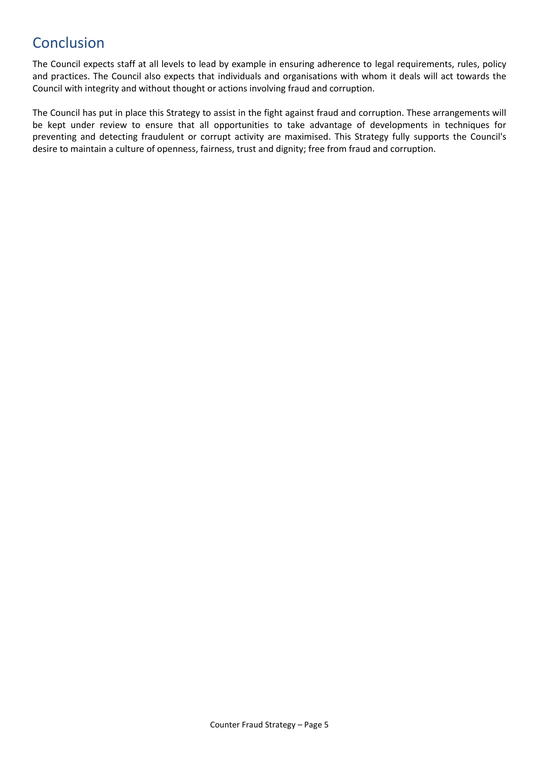## Conclusion

The Council expects staff at all levels to lead by example in ensuring adherence to legal requirements, rules, policy and practices. The Council also expects that individuals and organisations with whom it deals will act towards the Council with integrity and without thought or actions involving fraud and corruption.

The Council has put in place this Strategy to assist in the fight against fraud and corruption. These arrangements will be kept under review to ensure that all opportunities to take advantage of developments in techniques for preventing and detecting fraudulent or corrupt activity are maximised. This Strategy fully supports the Council's desire to maintain a culture of openness, fairness, trust and dignity; free from fraud and corruption.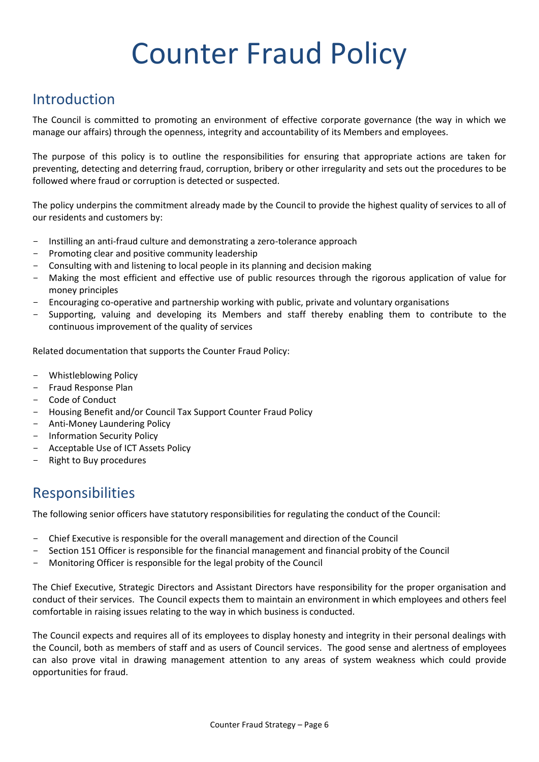# Counter Fraud Policy

## Introduction

The Council is committed to promoting an environment of effective corporate governance (the way in which we manage our affairs) through the openness, integrity and accountability of its Members and employees.

The purpose of this policy is to outline the responsibilities for ensuring that appropriate actions are taken for preventing, detecting and deterring fraud, corruption, bribery or other irregularity and sets out the procedures to be followed where fraud or corruption is detected or suspected.

The policy underpins the commitment already made by the Council to provide the highest quality of services to all of our residents and customers by:

- Instilling an anti-fraud culture and demonstrating a zero-tolerance approach
- Promoting clear and positive community leadership
- Consulting with and listening to local people in its planning and decision making
- Making the most efficient and effective use of public resources through the rigorous application of value for money principles
- Encouraging co-operative and partnership working with public, private and voluntary organisations
- Supporting, valuing and developing its Members and staff thereby enabling them to contribute to the continuous improvement of the quality of services

Related documentation that supports the Counter Fraud Policy:

- Whistleblowing Policy
- Fraud Response Plan
- Code of Conduct
- Housing Benefit and/or Council Tax Support Counter Fraud Policy
- Anti-Money Laundering Policy
- Information Security Policy
- Acceptable Use of ICT Assets Policy
- Right to Buy procedures

## Responsibilities

The following senior officers have statutory responsibilities for regulating the conduct of the Council:

- Chief Executive is responsible for the overall management and direction of the Council
- Section 151 Officer is responsible for the financial management and financial probity of the Council
- Monitoring Officer is responsible for the legal probity of the Council

The Chief Executive, Strategic Directors and Assistant Directors have responsibility for the proper organisation and conduct of their services. The Council expects them to maintain an environment in which employees and others feel comfortable in raising issues relating to the way in which business is conducted.

The Council expects and requires all of its employees to display honesty and integrity in their personal dealings with the Council, both as members of staff and as users of Council services. The good sense and alertness of employees can also prove vital in drawing management attention to any areas of system weakness which could provide opportunities for fraud.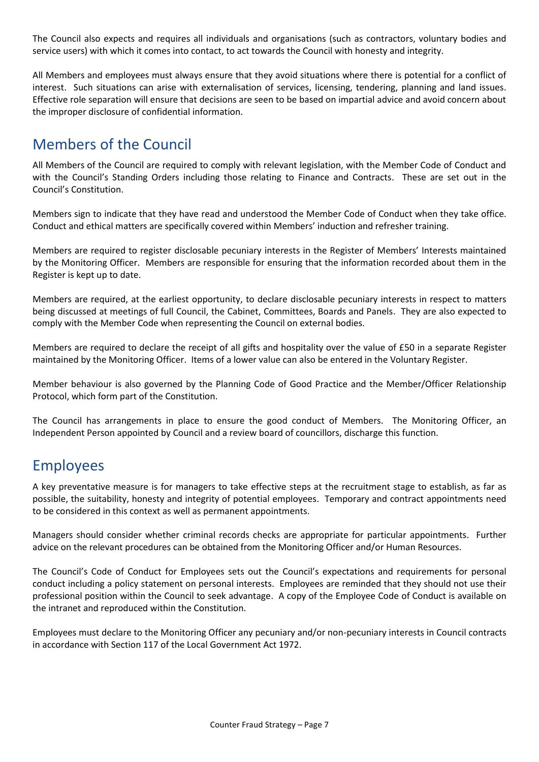The Council also expects and requires all individuals and organisations (such as contractors, voluntary bodies and service users) with which it comes into contact, to act towards the Council with honesty and integrity.

All Members and employees must always ensure that they avoid situations where there is potential for a conflict of interest. Such situations can arise with externalisation of services, licensing, tendering, planning and land issues. Effective role separation will ensure that decisions are seen to be based on impartial advice and avoid concern about the improper disclosure of confidential information.

## Members of the Council

All Members of the Council are required to comply with relevant legislation, with the Member Code of Conduct and with the Council's Standing Orders including those relating to Finance and Contracts. These are set out in the Council's Constitution.

Members sign to indicate that they have read and understood the Member Code of Conduct when they take office. Conduct and ethical matters are specifically covered within Members' induction and refresher training.

Members are required to register disclosable pecuniary interests in the Register of Members' Interests maintained by the Monitoring Officer. Members are responsible for ensuring that the information recorded about them in the Register is kept up to date.

Members are required, at the earliest opportunity, to declare disclosable pecuniary interests in respect to matters being discussed at meetings of full Council, the Cabinet, Committees, Boards and Panels. They are also expected to comply with the Member Code when representing the Council on external bodies.

Members are required to declare the receipt of all gifts and hospitality over the value of £50 in a separate Register maintained by the Monitoring Officer. Items of a lower value can also be entered in the Voluntary Register.

Member behaviour is also governed by the Planning Code of Good Practice and the Member/Officer Relationship Protocol, which form part of the Constitution.

The Council has arrangements in place to ensure the good conduct of Members. The Monitoring Officer, an Independent Person appointed by Council and a review board of councillors, discharge this function.

## Employees

A key preventative measure is for managers to take effective steps at the recruitment stage to establish, as far as possible, the suitability, honesty and integrity of potential employees. Temporary and contract appointments need to be considered in this context as well as permanent appointments.

Managers should consider whether criminal records checks are appropriate for particular appointments. Further advice on the relevant procedures can be obtained from the Monitoring Officer and/or Human Resources.

The Council's Code of Conduct for Employees sets out the Council's expectations and requirements for personal conduct including a policy statement on personal interests. Employees are reminded that they should not use their professional position within the Council to seek advantage. A copy of the Employee Code of Conduct is available on the intranet and reproduced within the Constitution.

Employees must declare to the Monitoring Officer any pecuniary and/or non-pecuniary interests in Council contracts in accordance with Section 117 of the Local Government Act 1972.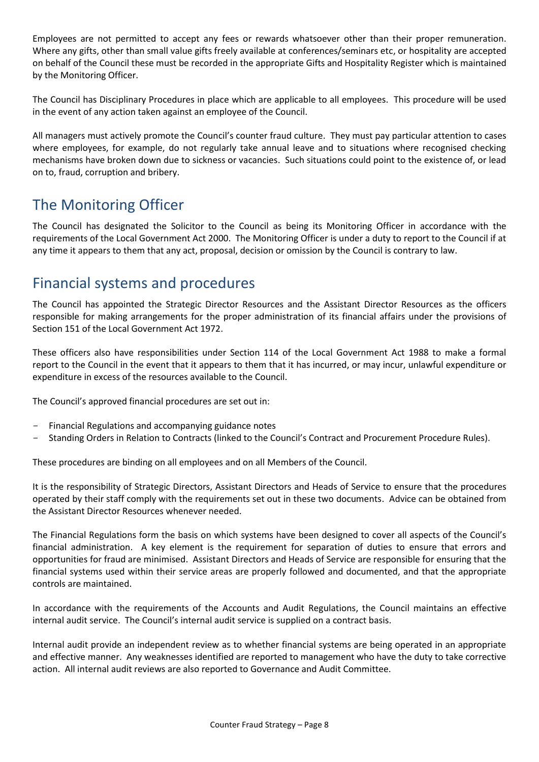Employees are not permitted to accept any fees or rewards whatsoever other than their proper remuneration. Where any gifts, other than small value gifts freely available at conferences/seminars etc, or hospitality are accepted on behalf of the Council these must be recorded in the appropriate Gifts and Hospitality Register which is maintained by the Monitoring Officer.

The Council has Disciplinary Procedures in place which are applicable to all employees. This procedure will be used in the event of any action taken against an employee of the Council.

All managers must actively promote the Council's counter fraud culture. They must pay particular attention to cases where employees, for example, do not regularly take annual leave and to situations where recognised checking mechanisms have broken down due to sickness or vacancies. Such situations could point to the existence of, or lead on to, fraud, corruption and bribery.

## The Monitoring Officer

The Council has designated the Solicitor to the Council as being its Monitoring Officer in accordance with the requirements of the Local Government Act 2000. The Monitoring Officer is under a duty to report to the Council if at any time it appears to them that any act, proposal, decision or omission by the Council is contrary to law.

## Financial systems and procedures

The Council has appointed the Strategic Director Resources and the Assistant Director Resources as the officers responsible for making arrangements for the proper administration of its financial affairs under the provisions of Section 151 of the Local Government Act 1972.

These officers also have responsibilities under Section 114 of the Local Government Act 1988 to make a formal report to the Council in the event that it appears to them that it has incurred, or may incur, unlawful expenditure or expenditure in excess of the resources available to the Council.

The Council's approved financial procedures are set out in:

- Financial Regulations and accompanying guidance notes
- Standing Orders in Relation to Contracts (linked to the Council's Contract and Procurement Procedure Rules).

These procedures are binding on all employees and on all Members of the Council.

It is the responsibility of Strategic Directors, Assistant Directors and Heads of Service to ensure that the procedures operated by their staff comply with the requirements set out in these two documents. Advice can be obtained from the Assistant Director Resources whenever needed.

The Financial Regulations form the basis on which systems have been designed to cover all aspects of the Council's financial administration. A key element is the requirement for separation of duties to ensure that errors and opportunities for fraud are minimised. Assistant Directors and Heads of Service are responsible for ensuring that the financial systems used within their service areas are properly followed and documented, and that the appropriate controls are maintained.

In accordance with the requirements of the Accounts and Audit Regulations, the Council maintains an effective internal audit service. The Council's internal audit service is supplied on a contract basis.

Internal audit provide an independent review as to whether financial systems are being operated in an appropriate and effective manner. Any weaknesses identified are reported to management who have the duty to take corrective action. All internal audit reviews are also reported to Governance and Audit Committee.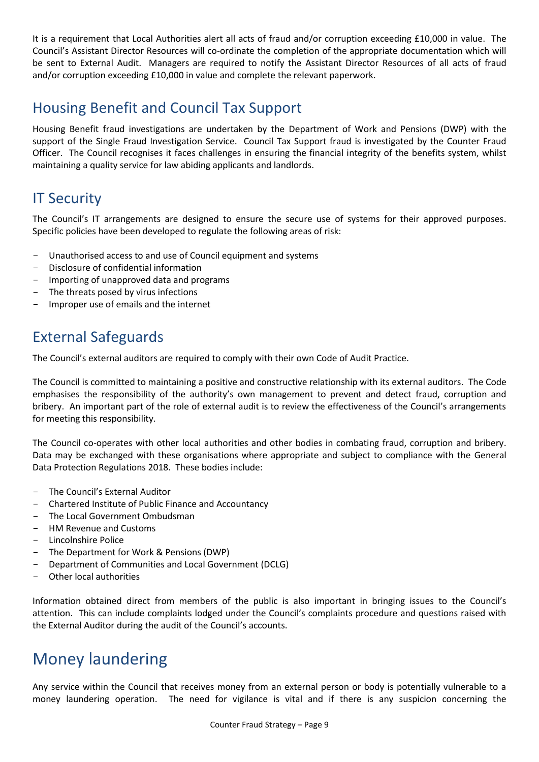It is a requirement that Local Authorities alert all acts of fraud and/or corruption exceeding £10,000 in value. The Council's Assistant Director Resources will co-ordinate the completion of the appropriate documentation which will be sent to External Audit. Managers are required to notify the Assistant Director Resources of all acts of fraud and/or corruption exceeding £10,000 in value and complete the relevant paperwork.

## Housing Benefit and Council Tax Support

Housing Benefit fraud investigations are undertaken by the Department of Work and Pensions (DWP) with the support of the Single Fraud Investigation Service. Council Tax Support fraud is investigated by the Counter Fraud Officer. The Council recognises it faces challenges in ensuring the financial integrity of the benefits system, whilst maintaining a quality service for law abiding applicants and landlords.

## **IT Security**

The Council's IT arrangements are designed to ensure the secure use of systems for their approved purposes. Specific policies have been developed to regulate the following areas of risk:

- Unauthorised access to and use of Council equipment and systems
- Disclosure of confidential information
- Importing of unapproved data and programs
- The threats posed by virus infections
- Improper use of emails and the internet

## External Safeguards

The Council's external auditors are required to comply with their own Code of Audit Practice.

The Council is committed to maintaining a positive and constructive relationship with its external auditors. The Code emphasises the responsibility of the authority's own management to prevent and detect fraud, corruption and bribery. An important part of the role of external audit is to review the effectiveness of the Council's arrangements for meeting this responsibility.

The Council co-operates with other local authorities and other bodies in combating fraud, corruption and bribery. Data may be exchanged with these organisations where appropriate and subject to compliance with the General Data Protection Regulations 2018. These bodies include:

- The Council's External Auditor
- Chartered Institute of Public Finance and Accountancy
- The Local Government Ombudsman
- HM Revenue and Customs
- Lincolnshire Police
- The Department for Work & Pensions (DWP)
- Department of Communities and Local Government (DCLG)
- Other local authorities

Information obtained direct from members of the public is also important in bringing issues to the Council's attention. This can include complaints lodged under the Council's complaints procedure and questions raised with the External Auditor during the audit of the Council's accounts.

## Money laundering

Any service within the Council that receives money from an external person or body is potentially vulnerable to a money laundering operation. The need for vigilance is vital and if there is any suspicion concerning the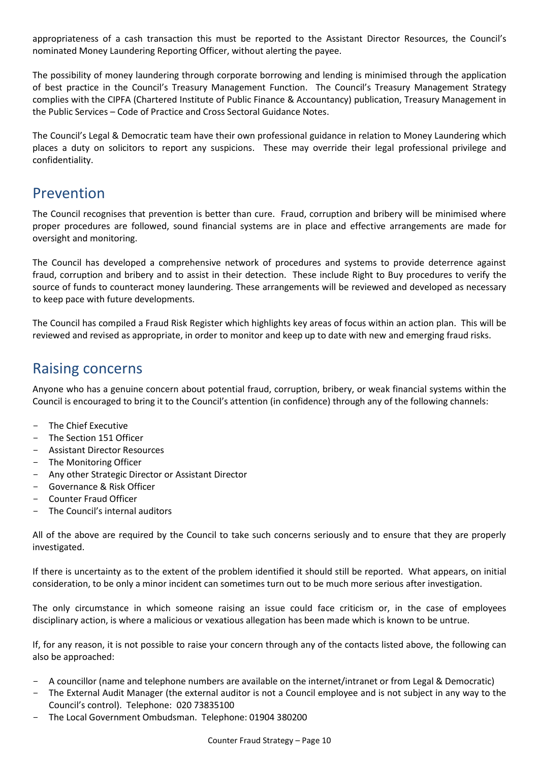appropriateness of a cash transaction this must be reported to the Assistant Director Resources, the Council's nominated Money Laundering Reporting Officer, without alerting the payee.

The possibility of money laundering through corporate borrowing and lending is minimised through the application of best practice in the Council's Treasury Management Function. The Council's Treasury Management Strategy complies with the CIPFA (Chartered Institute of Public Finance & Accountancy) publication, Treasury Management in the Public Services – Code of Practice and Cross Sectoral Guidance Notes.

The Council's Legal & Democratic team have their own professional guidance in relation to Money Laundering which places a duty on solicitors to report any suspicions. These may override their legal professional privilege and confidentiality.

## Prevention

The Council recognises that prevention is better than cure. Fraud, corruption and bribery will be minimised where proper procedures are followed, sound financial systems are in place and effective arrangements are made for oversight and monitoring.

The Council has developed a comprehensive network of procedures and systems to provide deterrence against fraud, corruption and bribery and to assist in their detection. These include Right to Buy procedures to verify the source of funds to counteract money laundering. These arrangements will be reviewed and developed as necessary to keep pace with future developments.

The Council has compiled a Fraud Risk Register which highlights key areas of focus within an action plan. This will be reviewed and revised as appropriate, in order to monitor and keep up to date with new and emerging fraud risks.

## Raising concerns

Anyone who has a genuine concern about potential fraud, corruption, bribery, or weak financial systems within the Council is encouraged to bring it to the Council's attention (in confidence) through any of the following channels:

- The Chief Executive
- The Section 151 Officer
- Assistant Director Resources
- The Monitoring Officer
- Any other Strategic Director or Assistant Director
- Governance & Risk Officer
- Counter Fraud Officer
- The Council's internal auditors

All of the above are required by the Council to take such concerns seriously and to ensure that they are properly investigated.

If there is uncertainty as to the extent of the problem identified it should still be reported. What appears, on initial consideration, to be only a minor incident can sometimes turn out to be much more serious after investigation.

The only circumstance in which someone raising an issue could face criticism or, in the case of employees disciplinary action, is where a malicious or vexatious allegation has been made which is known to be untrue.

If, for any reason, it is not possible to raise your concern through any of the contacts listed above, the following can also be approached:

- A councillor (name and telephone numbers are available on the internet/intranet or from Legal & Democratic)
- The External Audit Manager (the external auditor is not a Council employee and is not subject in any way to the Council's control). Telephone: 020 73835100
- The Local Government Ombudsman. Telephone: 01904 380200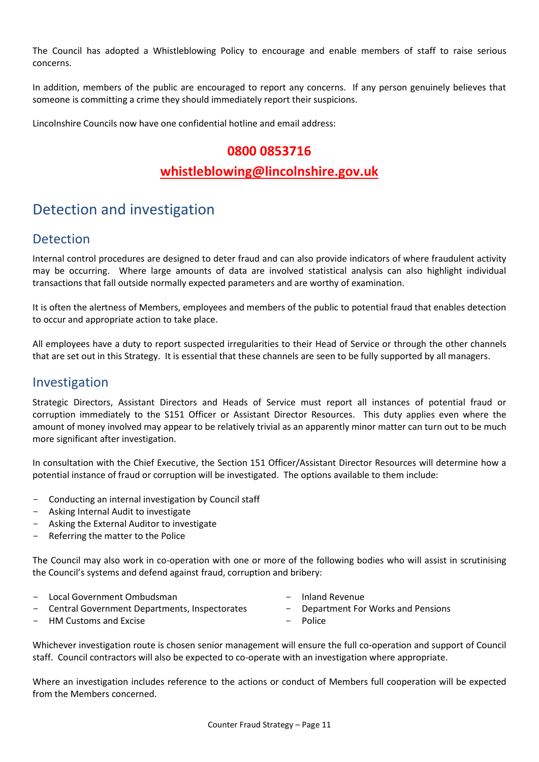The Council has adopted a Whistleblowing Policy to encourage and enable members of staff to raise serious concerns.

In addition, members of the public are encouraged to report any concerns. If any person genuinely believes that someone is committing a crime they should immediately report their suspicions.

Lincolnshire Councils now have one confidential hotline and email address:

#### **0800 0853716**

#### **[whistleblowing@lincolnshire.gov.uk](mailto:whistleblowing@lincolnshire.gov.uk)**

## Detection and investigation

#### Detection

Internal control procedures are designed to deter fraud and can also provide indicators of where fraudulent activity may be occurring. Where large amounts of data are involved statistical analysis can also highlight individual transactions that fall outside normally expected parameters and are worthy of examination.

It is often the alertness of Members, employees and members of the public to potential fraud that enables detection to occur and appropriate action to take place.

All employees have a duty to report suspected irregularities to their Head of Service or through the other channels that are set out in this Strategy. It is essential that these channels are seen to be fully supported by all managers.

#### Investigation

Strategic Directors, Assistant Directors and Heads of Service must report all instances of potential fraud or corruption immediately to the S151 Officer or Assistant Director Resources. This duty applies even where the amount of money involved may appear to be relatively trivial as an apparently minor matter can turn out to be much more significant after investigation.

In consultation with the Chief Executive, the Section 151 Officer/Assistant Director Resources will determine how a potential instance of fraud or corruption will be investigated. The options available to them include:

- Conducting an internal investigation by Council staff
- Asking Internal Audit to investigate
- Asking the External Auditor to investigate
- Referring the matter to the Police

The Council may also work in co-operation with one or more of the following bodies who will assist in scrutinising the Council's systems and defend against fraud, corruption and bribery:

- Local Government Ombudsman
- Inland Revenue
- Central Government Departments, Inspectorates
- HM Customs and Excise
- 
- Department For Works and Pensions
- **Police**

Whichever investigation route is chosen senior management will ensure the full co-operation and support of Council staff. Council contractors will also be expected to co-operate with an investigation where appropriate.

Where an investigation includes reference to the actions or conduct of Members full cooperation will be expected from the Members concerned.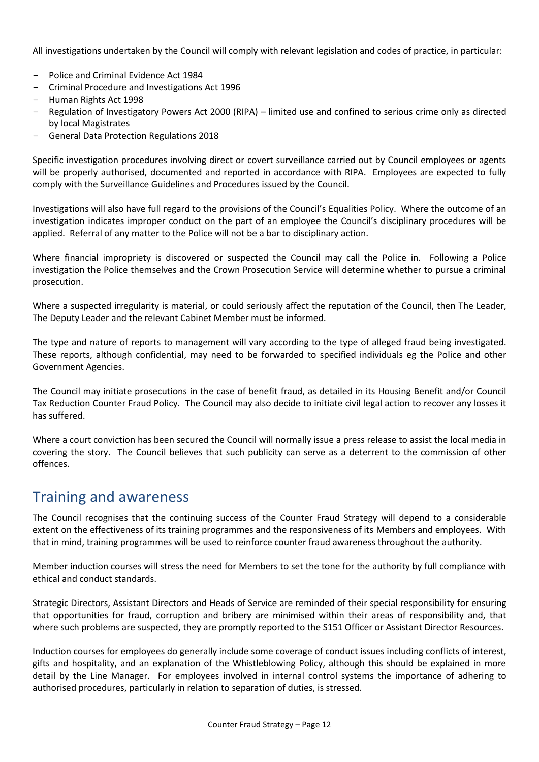All investigations undertaken by the Council will comply with relevant legislation and codes of practice, in particular:

- Police and Criminal Evidence Act 1984
- Criminal Procedure and Investigations Act 1996
- Human Rights Act 1998
- Regulation of Investigatory Powers Act 2000 (RIPA) limited use and confined to serious crime only as directed by local Magistrates
- General Data Protection Regulations 2018

Specific investigation procedures involving direct or covert surveillance carried out by Council employees or agents will be properly authorised, documented and reported in accordance with RIPA. Employees are expected to fully comply with the Surveillance Guidelines and Procedures issued by the Council.

Investigations will also have full regard to the provisions of the Council's Equalities Policy. Where the outcome of an investigation indicates improper conduct on the part of an employee the Council's disciplinary procedures will be applied. Referral of any matter to the Police will not be a bar to disciplinary action.

Where financial impropriety is discovered or suspected the Council may call the Police in. Following a Police investigation the Police themselves and the Crown Prosecution Service will determine whether to pursue a criminal prosecution.

Where a suspected irregularity is material, or could seriously affect the reputation of the Council, then The Leader, The Deputy Leader and the relevant Cabinet Member must be informed.

The type and nature of reports to management will vary according to the type of alleged fraud being investigated. These reports, although confidential, may need to be forwarded to specified individuals eg the Police and other Government Agencies.

The Council may initiate prosecutions in the case of benefit fraud, as detailed in its Housing Benefit and/or Council Tax Reduction Counter Fraud Policy. The Council may also decide to initiate civil legal action to recover any losses it has suffered.

Where a court conviction has been secured the Council will normally issue a press release to assist the local media in covering the story. The Council believes that such publicity can serve as a deterrent to the commission of other offences.

### Training and awareness

The Council recognises that the continuing success of the Counter Fraud Strategy will depend to a considerable extent on the effectiveness of its training programmes and the responsiveness of its Members and employees. With that in mind, training programmes will be used to reinforce counter fraud awareness throughout the authority.

Member induction courses will stress the need for Members to set the tone for the authority by full compliance with ethical and conduct standards.

Strategic Directors, Assistant Directors and Heads of Service are reminded of their special responsibility for ensuring that opportunities for fraud, corruption and bribery are minimised within their areas of responsibility and, that where such problems are suspected, they are promptly reported to the S151 Officer or Assistant Director Resources.

Induction courses for employees do generally include some coverage of conduct issues including conflicts of interest, gifts and hospitality, and an explanation of the Whistleblowing Policy, although this should be explained in more detail by the Line Manager. For employees involved in internal control systems the importance of adhering to authorised procedures, particularly in relation to separation of duties, is stressed.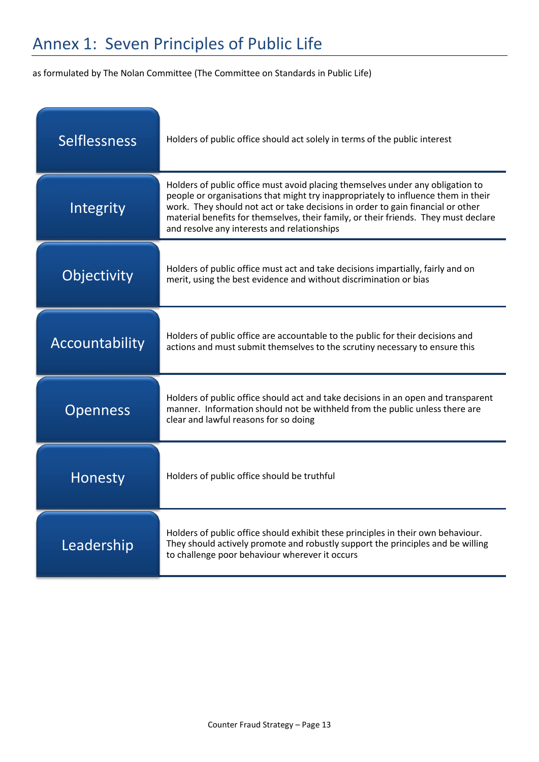# Annex 1: Seven Principles of Public Life

as formulated by The Nolan Committee (The Committee on Standards in Public Life)

| <b>Selflessness</b> | Holders of public office should act solely in terms of the public interest                                                                                                                                                                                                                                                                                                                   |
|---------------------|----------------------------------------------------------------------------------------------------------------------------------------------------------------------------------------------------------------------------------------------------------------------------------------------------------------------------------------------------------------------------------------------|
| Integrity           | Holders of public office must avoid placing themselves under any obligation to<br>people or organisations that might try inappropriately to influence them in their<br>work. They should not act or take decisions in order to gain financial or other<br>material benefits for themselves, their family, or their friends. They must declare<br>and resolve any interests and relationships |
| Objectivity         | Holders of public office must act and take decisions impartially, fairly and on<br>merit, using the best evidence and without discrimination or bias                                                                                                                                                                                                                                         |
| Accountability      | Holders of public office are accountable to the public for their decisions and<br>actions and must submit themselves to the scrutiny necessary to ensure this                                                                                                                                                                                                                                |
| <b>Openness</b>     | Holders of public office should act and take decisions in an open and transparent<br>manner. Information should not be withheld from the public unless there are<br>clear and lawful reasons for so doing                                                                                                                                                                                    |
| Honesty             | Holders of public office should be truthful                                                                                                                                                                                                                                                                                                                                                  |
| Leadership          | Holders of public office should exhibit these principles in their own behaviour.<br>They should actively promote and robustly support the principles and be willing<br>to challenge poor behaviour wherever it occurs                                                                                                                                                                        |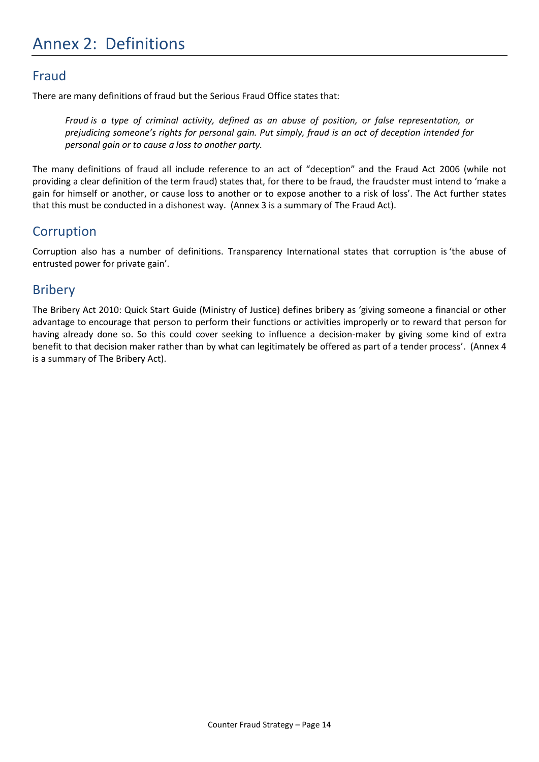## Annex 2: Definitions

### Fraud

There are many definitions of fraud but the Serious Fraud Office states that:

*Fraud is a type of criminal activity, defined as an abuse of position, or false representation, or prejudicing someone's rights for personal gain. Put simply, fraud is an act of deception intended for personal gain or to cause a loss to another party.*

The many definitions of fraud all include reference to an act of "deception" and the Fraud Act 2006 (while not providing a clear definition of the term fraud) states that, for there to be fraud, the fraudster must intend to 'make a gain for himself or another, or cause loss to another or to expose another to a risk of loss'. The Act further states that this must be conducted in a dishonest way. (Annex 3 is a summary of The Fraud Act).

#### **Corruption**

Corruption also has a number of definitions. Transparency International states that corruption is 'the abuse of entrusted power for private gain'.

### **Bribery**

The Bribery Act 2010: Quick Start Guide (Ministry of Justice) defines bribery as 'giving someone a financial or other advantage to encourage that person to perform their functions or activities improperly or to reward that person for having already done so. So this could cover seeking to influence a decision-maker by giving some kind of extra benefit to that decision maker rather than by what can legitimately be offered as part of a tender process'. (Annex 4 is a summary of The Bribery Act).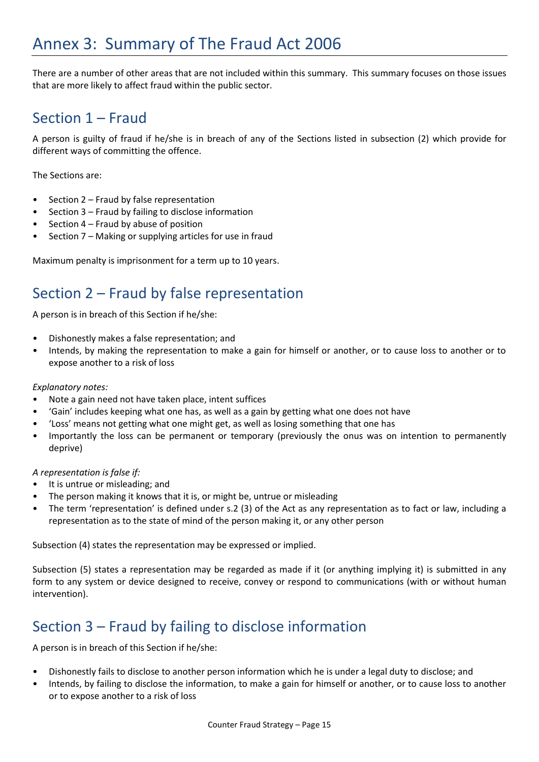There are a number of other areas that are not included within this summary. This summary focuses on those issues that are more likely to affect fraud within the public sector.

## Section 1 – Fraud

A person is guilty of fraud if he/she is in breach of any of the Sections listed in subsection (2) which provide for different ways of committing the offence.

The Sections are:

- Section 2 Fraud by false representation
- Section 3 Fraud by failing to disclose information
- Section  $4$  Fraud by abuse of position
- Section 7 Making or supplying articles for use in fraud

Maximum penalty is imprisonment for a term up to 10 years.

## Section 2 – Fraud by false representation

A person is in breach of this Section if he/she:

- Dishonestly makes a false representation; and
- Intends, by making the representation to make a gain for himself or another, or to cause loss to another or to expose another to a risk of loss

#### *Explanatory notes:*

- Note a gain need not have taken place, intent suffices
- 'Gain' includes keeping what one has, as well as a gain by getting what one does not have
- 'Loss' means not getting what one might get, as well as losing something that one has
- Importantly the loss can be permanent or temporary (previously the onus was on intention to permanently deprive)

*A representation is false if:*

- It is untrue or misleading; and
- The person making it knows that it is, or might be, untrue or misleading
- The term 'representation' is defined under s.2 (3) of the Act as any representation as to fact or law, including a representation as to the state of mind of the person making it, or any other person

Subsection (4) states the representation may be expressed or implied.

Subsection (5) states a representation may be regarded as made if it (or anything implying it) is submitted in any form to any system or device designed to receive, convey or respond to communications (with or without human intervention).

## Section 3 – Fraud by failing to disclose information

A person is in breach of this Section if he/she:

- Dishonestly fails to disclose to another person information which he is under a legal duty to disclose; and
- Intends, by failing to disclose the information, to make a gain for himself or another, or to cause loss to another or to expose another to a risk of loss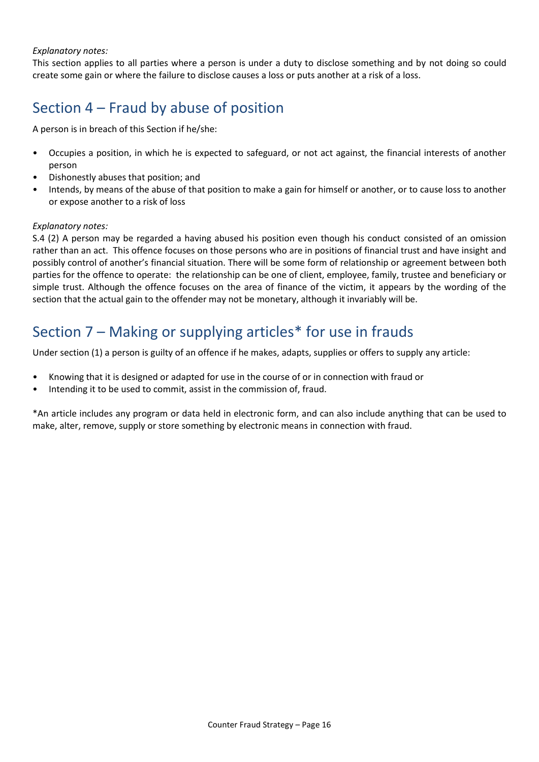#### *Explanatory notes:*

This section applies to all parties where a person is under a duty to disclose something and by not doing so could create some gain or where the failure to disclose causes a loss or puts another at a risk of a loss.

## Section 4 – Fraud by abuse of position

A person is in breach of this Section if he/she:

- Occupies a position, in which he is expected to safeguard, or not act against, the financial interests of another person
- Dishonestly abuses that position; and
- Intends, by means of the abuse of that position to make a gain for himself or another, or to cause loss to another or expose another to a risk of loss

#### *Explanatory notes:*

S.4 (2) A person may be regarded a having abused his position even though his conduct consisted of an omission rather than an act. This offence focuses on those persons who are in positions of financial trust and have insight and possibly control of another's financial situation. There will be some form of relationship or agreement between both parties for the offence to operate: the relationship can be one of client, employee, family, trustee and beneficiary or simple trust. Although the offence focuses on the area of finance of the victim, it appears by the wording of the section that the actual gain to the offender may not be monetary, although it invariably will be.

## Section 7 – Making or supplying articles\* for use in frauds

Under section (1) a person is guilty of an offence if he makes, adapts, supplies or offers to supply any article:

- Knowing that it is designed or adapted for use in the course of or in connection with fraud or
- Intending it to be used to commit, assist in the commission of, fraud.

\*An article includes any program or data held in electronic form, and can also include anything that can be used to make, alter, remove, supply or store something by electronic means in connection with fraud.